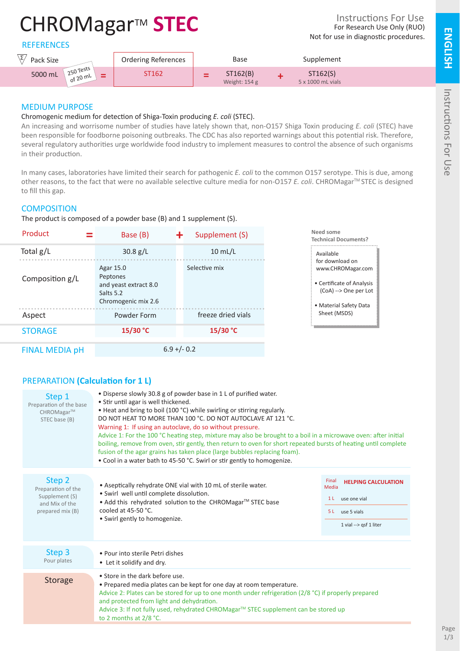# CHROMagar™ **STEC**

**REFERENCES** 

| $\overline{ }$<br>Pack Size                                             | <b>Ordering References</b> | Base                      | Supplement                    |  |
|-------------------------------------------------------------------------|----------------------------|---------------------------|-------------------------------|--|
| $250$ Tests<br>5000 mL<br>$\overline{\phantom{a}}$<br>.20m <sup>L</sup> | ST162                      | ST162(B)<br>Weight: 154 g | ST162(S)<br>5 x 1000 mL vials |  |

## MEDIUM PURPOSE

#### Chromogenic medium for detection of Shiga-Toxin producing *E. coli* (STEC).

An increasing and worrisome number of studies have lately shown that, non-O157 Shiga Toxin producing *E. coli* (STEC) have been responsible for foodborne poisoning outbreaks. The CDC has also reported warnings about this potential risk. Therefore, several regulatory authorities urge worldwide food industry to implement measures to control the absence of such organisms in their production.

In many cases, laboratories have limited their search for pathogenic *E. coli* to the common O157 serotype. This is due, among other reasons, to the fact that were no available selective culture media for non-O157 *E. coli*. CHROMagar™ STEC is designed to fill this gap.

## **COMPOSITION**

The product is composed of a powder base (B) and 1 supplement (S).

| Product               | Base (B)<br>÷                                                                      | Supplement (S)     | Need some<br><b>Technical Documents?</b>                                                                             |
|-----------------------|------------------------------------------------------------------------------------|--------------------|----------------------------------------------------------------------------------------------------------------------|
| Total $g/L$           | 30.8 g/L                                                                           | $10$ mL/L          | Available                                                                                                            |
| Composition g/L       | Agar 15.0<br>Peptones<br>and yeast extract 8.0<br>Salts 5.2<br>Chromogenic mix 2.6 | Selective mix      | for download on<br>www.CHROMagar.com<br>• Certificate of Analysis<br>(CoA) --> One per Lot<br>• Material Safety Data |
| Aspect                | Powder Form                                                                        | freeze dried vials | Sheet (MSDS)                                                                                                         |
| <b>STORAGE</b>        | 15/30 °C                                                                           | $15/30$ °C         |                                                                                                                      |
| <b>FINAL MEDIA pH</b> | $6.9 + (-0.2)$                                                                     |                    |                                                                                                                      |

## PREPARATION **(Calculation for 1 L)**

| Step 1<br>Preparation of the base<br>CHROMagar™<br>STEC base (B)                     | · Disperse slowly 30.8 g of powder base in 1 L of purified water.<br>• Stir until agar is well thickened.<br>• Heat and bring to boil (100 °C) while swirling or stirring regularly.<br>DO NOT HEAT TO MORE THAN 100 °C. DO NOT AUTOCLAVE AT 121 °C.<br>Warning 1: If using an autoclave, do so without pressure.<br>Advice 1: For the 100 °C heating step, mixture may also be brought to a boil in a microwave oven: after initial<br>boiling, remove from oven, stir gently, then return to oven for short repeated bursts of heating until complete<br>fusion of the agar grains has taken place (large bubbles replacing foam).<br>• Cool in a water bath to 45-50 °C. Swirl or stir gently to homogenize. |                                                                                                                             |
|--------------------------------------------------------------------------------------|-----------------------------------------------------------------------------------------------------------------------------------------------------------------------------------------------------------------------------------------------------------------------------------------------------------------------------------------------------------------------------------------------------------------------------------------------------------------------------------------------------------------------------------------------------------------------------------------------------------------------------------------------------------------------------------------------------------------|-----------------------------------------------------------------------------------------------------------------------------|
| Step 2<br>Preparation of the<br>Supplement (S)<br>and Mix of the<br>prepared mix (B) | • Aseptically rehydrate ONE vial with 10 mL of sterile water.<br>· Swirl well until complete dissolution.<br>• Add this rehydrated solution to the CHROMagar™ STEC base<br>cooled at 45-50 °C.<br>• Swirl gently to homogenize.                                                                                                                                                                                                                                                                                                                                                                                                                                                                                 | Final<br><b>HELPING CALCULATION</b><br>Media<br>use one vial<br>1 <sup>L</sup><br>5 L use 5 vials<br>1 vial --> gsf 1 liter |
| Step 3<br>Pour plates                                                                | • Pour into sterile Petri dishes<br>• Let it solidify and dry.                                                                                                                                                                                                                                                                                                                                                                                                                                                                                                                                                                                                                                                  |                                                                                                                             |
| <b>Storage</b>                                                                       | • Store in the dark before use.<br>• Prepared media plates can be kept for one day at room temperature.<br>Advice 2: Plates can be stored for up to one month under refrigeration $(2/8 °C)$ if properly prepared<br>and protected from light and dehydration.<br>Advice 3: If not fully used, rehydrated CHROMagar™ STEC supplement can be stored up<br>to 2 months at 2/8 °C.                                                                                                                                                                                                                                                                                                                                 |                                                                                                                             |

**ENGLISH**

**ENGLISH**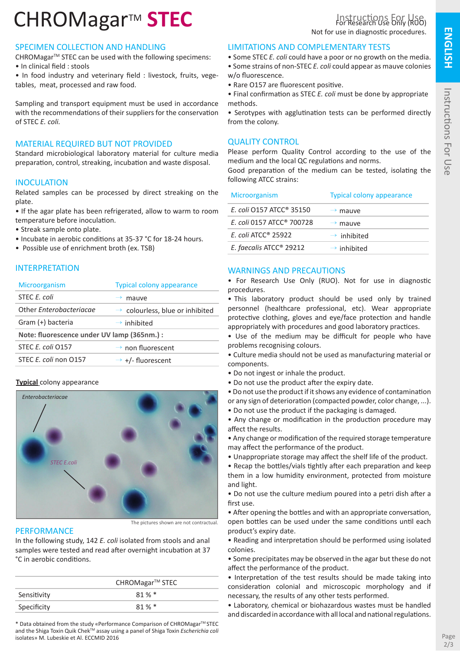# CHROMagar<sup>™</sup> STEC

#### SPECIMEN COLLECTION AND HANDLING

CHROMagar<sup>™</sup> STEC can be used with the following specimens: • In clinical field : stools

• In food industry and veterinary field : livestock, fruits, vegetables, meat, processed and raw food.

Sampling and transport equipment must be used in accordance with the recommendations of their suppliers for the conservation of STEC *E. coli.*

## MATERIAL REQUIRED BUT NOT PROVIDED

Standard microbiological laboratory material for culture media preparation, control, streaking, incubation and waste disposal.

#### INOCULATION

Related samples can be processed by direct streaking on the plate.

• If the agar plate has been refrigerated, allow to warm to room temperature before inoculation.

- Streak sample onto plate.
- Incubate in aerobic conditions at 35-37 °C for 18-24 hours.
- Possible use of enrichment broth (ex. TSB)

#### INTERPRETATION

| <b>Microorganism</b>                        | <b>Typical colony appearance</b>            |  |
|---------------------------------------------|---------------------------------------------|--|
| STEC E. coli                                | mauve                                       |  |
| Other Enterobacteriacae                     | $\rightarrow$ colourless, blue or inhibited |  |
| Gram (+) bacteria                           | $\rightarrow$ inhibited                     |  |
| Note: fluorescence under UV lamp (365nm.) : |                                             |  |
| STEC E. coli 0157                           | $\rightarrow$ non fluorescent               |  |
| STEC E. coli non O157                       | $\rightarrow$ +/- fluorescent               |  |

#### **Typical** colony appearance



The pictures shown are not contractual

#### **PERFORMANCE**

In the following study, 142 *E. coli* isolated from stools and anal samples were tested and read after overnight incubation at 37 °C in aerobic conditions.

|             | CHROMagar™ STEC |
|-------------|-----------------|
| Sensitivity | $81\%$ *        |
| Specificity | $81\%$ *        |

\* Data obtained from the study «Performance Comparison of CHROMagarTM STEC and the Shiga Toxin Quik Chek<sup>™</sup> assay using a panel of Shiga Toxin *Escherichia coli* isolates» M. Lubeskie et Al. ECCMID 2016

#### LIMITATIONS AND COMPLEMENTARY TESTS

- Some STEC *E. coli* could have a poor or no growth on the media.
- Some strains of non-STEC *E. coli* could appear as mauve colonies w/o fluorescence.
- Rare O157 are fluorescent positive.
- Final confirmation as STEC *E. coli* must be done by appropriate methods.
- Serotypes with agglutination tests can be performed directly from the colony.

## QUALITY CONTROL

Please perform Quality Control according to the use of the medium and the local QC regulations and norms.

Good preparation of the medium can be tested, isolating the following ATCC strains:

| Microorganism                         | <b>Typical colony appearance</b> |
|---------------------------------------|----------------------------------|
| E. coli 0157 ATCC <sup>®</sup> 35150  | $\rightarrow$ mauve              |
| E. coli 0157 ATCC <sup>®</sup> 700728 | $\rightarrow$ mauve              |
| $E.$ coli ATCC <sup>®</sup> 25922     | $\rightarrow$ inhibited          |
| E. faecalis ATCC <sup>®</sup> 29212   | $\rightarrow$ inhibited          |

#### WARNINGS AND PRECAUTIONS

• For Research Use Only (RUO). Not for use in diagnostic procedures.

• This laboratory product should be used only by trained personnel (healthcare professional, etc). Wear appropriate protective clothing, gloves and eye/face protection and handle appropriately with procedures and good laboratory practices.

• Use of the medium may be difficult for people who have problems recognising colours.

• Culture media should not be used as manufacturing material or components.

- Do not ingest or inhale the product.
- Do not use the product after the expiry date.

• Do not use the product if it shows any evidence of contamination or any sign of deterioration (compacted powder, color change, ...).

• Do not use the product if the packaging is damaged.

• Any change or modification in the production procedure may affect the results.

• Any change or modification of the required storage temperature may affect the performance of the product.

• Unappropriate storage may affect the shelf life of the product.

• Recap the bottles/vials tightly after each preparation and keep them in a low humidity environment, protected from moisture and light.

• Do not use the culture medium poured into a petri dish after a first use.

• After opening the bottles and with an appropriate conversation, open bottles can be used under the same conditions until each product's expiry date.

• Reading and interpretation should be performed using isolated colonies.

• Some precipitates may be observed in the agar but these do not affect the performance of the product.

• Interpretation of the test results should be made taking into consideration colonial and microscopic morphology and if necessary, the results of any other tests performed.

• Laboratory, chemical or biohazardous wastes must be handled and discarded in accordance with all local and national regulations.

**ENGLISH**